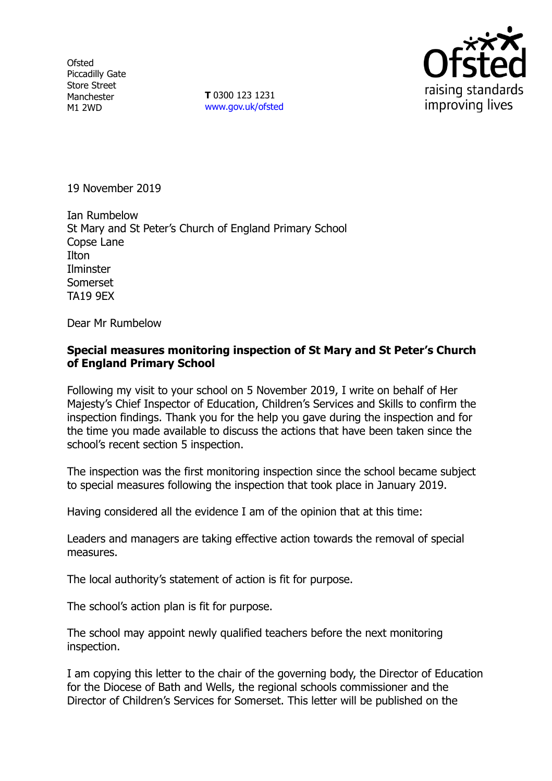**Ofsted** Piccadilly Gate Store Street Manchester M1 2WD

**T** 0300 123 1231 www.gov.uk/ofsted



19 November 2019

Ian Rumbelow St Mary and St Peter's Church of England Primary School Copse Lane **Ilton Ilminster** Somerset TA19 9EX

Dear Mr Rumbelow

### **Special measures monitoring inspection of St Mary and St Peter's Church of England Primary School**

Following my visit to your school on 5 November 2019, I write on behalf of Her Majesty's Chief Inspector of Education, Children's Services and Skills to confirm the inspection findings. Thank you for the help you gave during the inspection and for the time you made available to discuss the actions that have been taken since the school's recent section 5 inspection.

The inspection was the first monitoring inspection since the school became subject to special measures following the inspection that took place in January 2019.

Having considered all the evidence I am of the opinion that at this time:

Leaders and managers are taking effective action towards the removal of special measures.

The local authority's statement of action is fit for purpose.

The school's action plan is fit for purpose.

The school may appoint newly qualified teachers before the next monitoring inspection.

I am copying this letter to the chair of the governing body, the Director of Education for the Diocese of Bath and Wells, the regional schools commissioner and the Director of Children's Services for Somerset. This letter will be published on the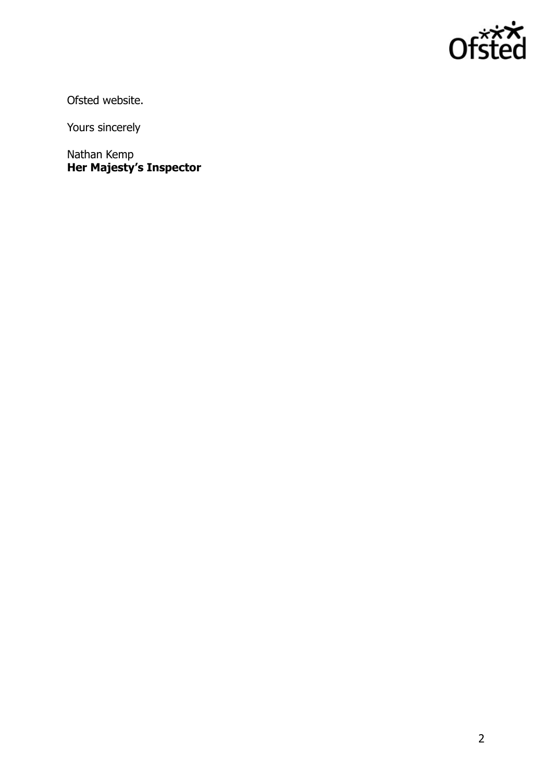

Ofsted website.

Yours sincerely

Nathan Kemp **Her Majesty's Inspector**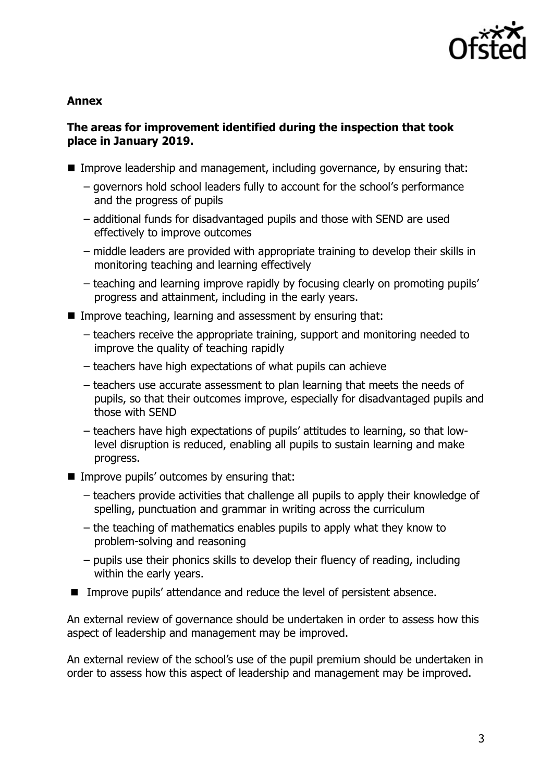

#### **Annex**

# **The areas for improvement identified during the inspection that took place in January 2019.**

- Improve leadership and management, including governance, by ensuring that:
	- governors hold school leaders fully to account for the school's performance and the progress of pupils
	- additional funds for disadvantaged pupils and those with SEND are used effectively to improve outcomes
	- middle leaders are provided with appropriate training to develop their skills in monitoring teaching and learning effectively
	- teaching and learning improve rapidly by focusing clearly on promoting pupils' progress and attainment, including in the early years.
- Improve teaching, learning and assessment by ensuring that:
	- teachers receive the appropriate training, support and monitoring needed to improve the quality of teaching rapidly
	- teachers have high expectations of what pupils can achieve
	- teachers use accurate assessment to plan learning that meets the needs of pupils, so that their outcomes improve, especially for disadvantaged pupils and those with SEND
	- teachers have high expectations of pupils' attitudes to learning, so that lowlevel disruption is reduced, enabling all pupils to sustain learning and make progress.
- $\blacksquare$  Improve pupils' outcomes by ensuring that:
	- teachers provide activities that challenge all pupils to apply their knowledge of spelling, punctuation and grammar in writing across the curriculum
	- the teaching of mathematics enables pupils to apply what they know to problem-solving and reasoning
	- pupils use their phonics skills to develop their fluency of reading, including within the early years.
- Improve pupils' attendance and reduce the level of persistent absence.

An external review of governance should be undertaken in order to assess how this aspect of leadership and management may be improved.

An external review of the school's use of the pupil premium should be undertaken in order to assess how this aspect of leadership and management may be improved.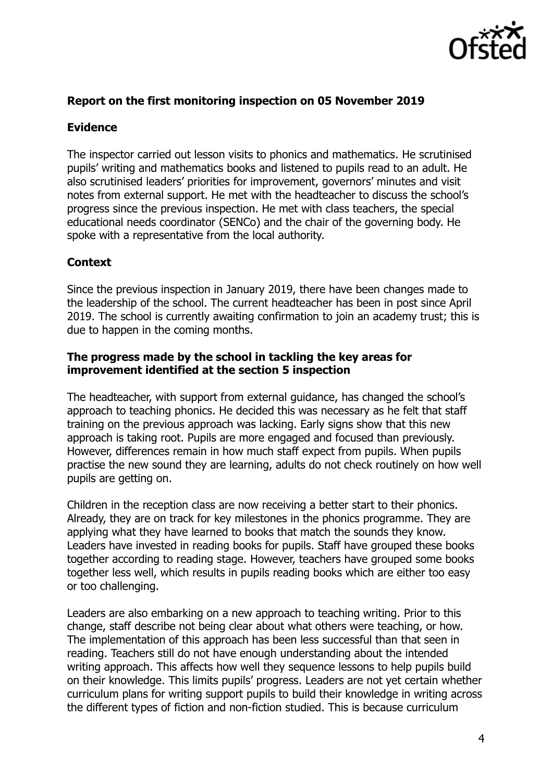

### **Report on the first monitoring inspection on 05 November 2019**

# **Evidence**

The inspector carried out lesson visits to phonics and mathematics. He scrutinised pupils' writing and mathematics books and listened to pupils read to an adult. He also scrutinised leaders' priorities for improvement, governors' minutes and visit notes from external support. He met with the headteacher to discuss the school's progress since the previous inspection. He met with class teachers, the special educational needs coordinator (SENCo) and the chair of the governing body. He spoke with a representative from the local authority.

### **Context**

Since the previous inspection in January 2019, there have been changes made to the leadership of the school. The current headteacher has been in post since April 2019. The school is currently awaiting confirmation to join an academy trust; this is due to happen in the coming months.

#### **The progress made by the school in tackling the key areas for improvement identified at the section 5 inspection**

The headteacher, with support from external guidance, has changed the school's approach to teaching phonics. He decided this was necessary as he felt that staff training on the previous approach was lacking. Early signs show that this new approach is taking root. Pupils are more engaged and focused than previously. However, differences remain in how much staff expect from pupils. When pupils practise the new sound they are learning, adults do not check routinely on how well pupils are getting on.

Children in the reception class are now receiving a better start to their phonics. Already, they are on track for key milestones in the phonics programme. They are applying what they have learned to books that match the sounds they know. Leaders have invested in reading books for pupils. Staff have grouped these books together according to reading stage. However, teachers have grouped some books together less well, which results in pupils reading books which are either too easy or too challenging.

Leaders are also embarking on a new approach to teaching writing. Prior to this change, staff describe not being clear about what others were teaching, or how. The implementation of this approach has been less successful than that seen in reading. Teachers still do not have enough understanding about the intended writing approach. This affects how well they sequence lessons to help pupils build on their knowledge. This limits pupils' progress. Leaders are not yet certain whether curriculum plans for writing support pupils to build their knowledge in writing across the different types of fiction and non-fiction studied. This is because curriculum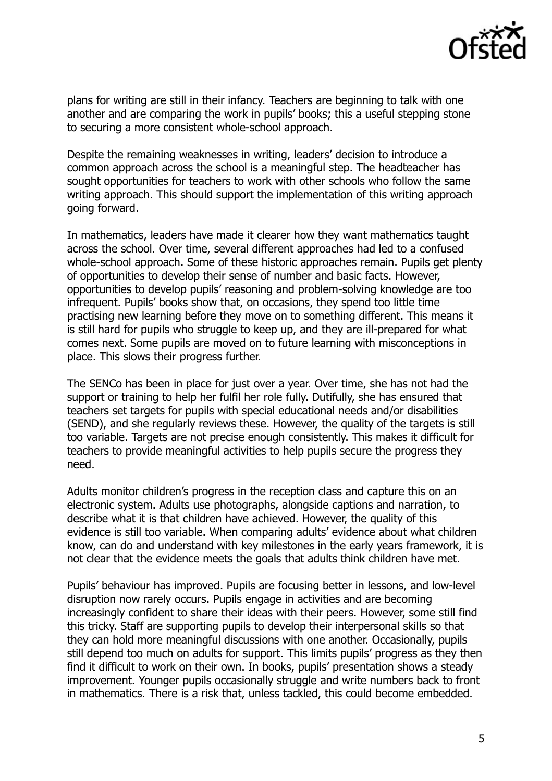

plans for writing are still in their infancy. Teachers are beginning to talk with one another and are comparing the work in pupils' books; this a useful stepping stone to securing a more consistent whole-school approach.

Despite the remaining weaknesses in writing, leaders' decision to introduce a common approach across the school is a meaningful step. The headteacher has sought opportunities for teachers to work with other schools who follow the same writing approach. This should support the implementation of this writing approach going forward.

In mathematics, leaders have made it clearer how they want mathematics taught across the school. Over time, several different approaches had led to a confused whole-school approach. Some of these historic approaches remain. Pupils get plenty of opportunities to develop their sense of number and basic facts. However, opportunities to develop pupils' reasoning and problem-solving knowledge are too infrequent. Pupils' books show that, on occasions, they spend too little time practising new learning before they move on to something different. This means it is still hard for pupils who struggle to keep up, and they are ill-prepared for what comes next. Some pupils are moved on to future learning with misconceptions in place. This slows their progress further.

The SENCo has been in place for just over a year. Over time, she has not had the support or training to help her fulfil her role fully. Dutifully, she has ensured that teachers set targets for pupils with special educational needs and/or disabilities (SEND), and she regularly reviews these. However, the quality of the targets is still too variable. Targets are not precise enough consistently. This makes it difficult for teachers to provide meaningful activities to help pupils secure the progress they need.

Adults monitor children's progress in the reception class and capture this on an electronic system. Adults use photographs, alongside captions and narration, to describe what it is that children have achieved. However, the quality of this evidence is still too variable. When comparing adults' evidence about what children know, can do and understand with key milestones in the early years framework, it is not clear that the evidence meets the goals that adults think children have met.

Pupils' behaviour has improved. Pupils are focusing better in lessons, and low-level disruption now rarely occurs. Pupils engage in activities and are becoming increasingly confident to share their ideas with their peers. However, some still find this tricky. Staff are supporting pupils to develop their interpersonal skills so that they can hold more meaningful discussions with one another. Occasionally, pupils still depend too much on adults for support. This limits pupils' progress as they then find it difficult to work on their own. In books, pupils' presentation shows a steady improvement. Younger pupils occasionally struggle and write numbers back to front in mathematics. There is a risk that, unless tackled, this could become embedded.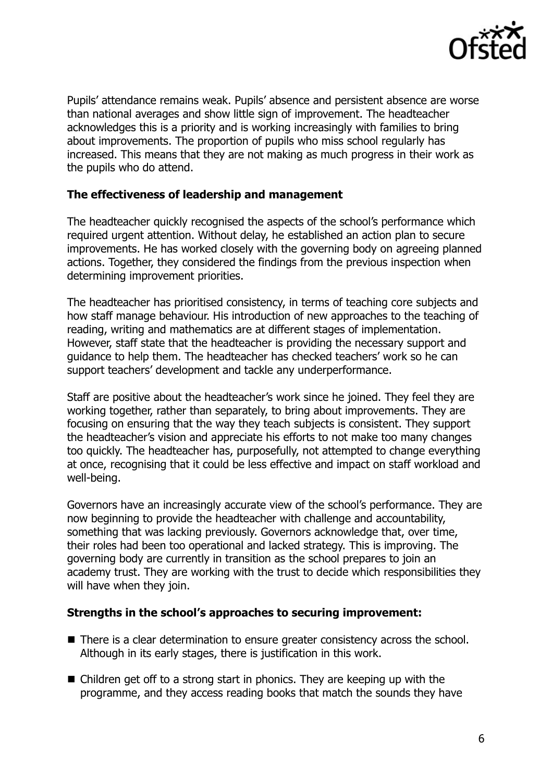

Pupils' attendance remains weak. Pupils' absence and persistent absence are worse than national averages and show little sign of improvement. The headteacher acknowledges this is a priority and is working increasingly with families to bring about improvements. The proportion of pupils who miss school regularly has increased. This means that they are not making as much progress in their work as the pupils who do attend.

### **The effectiveness of leadership and management**

The headteacher quickly recognised the aspects of the school's performance which required urgent attention. Without delay, he established an action plan to secure improvements. He has worked closely with the governing body on agreeing planned actions. Together, they considered the findings from the previous inspection when determining improvement priorities.

The headteacher has prioritised consistency, in terms of teaching core subjects and how staff manage behaviour. His introduction of new approaches to the teaching of reading, writing and mathematics are at different stages of implementation. However, staff state that the headteacher is providing the necessary support and guidance to help them. The headteacher has checked teachers' work so he can support teachers' development and tackle any underperformance.

Staff are positive about the headteacher's work since he joined. They feel they are working together, rather than separately, to bring about improvements. They are focusing on ensuring that the way they teach subjects is consistent. They support the headteacher's vision and appreciate his efforts to not make too many changes too quickly. The headteacher has, purposefully, not attempted to change everything at once, recognising that it could be less effective and impact on staff workload and well-being.

Governors have an increasingly accurate view of the school's performance. They are now beginning to provide the headteacher with challenge and accountability, something that was lacking previously. Governors acknowledge that, over time, their roles had been too operational and lacked strategy. This is improving. The governing body are currently in transition as the school prepares to join an academy trust. They are working with the trust to decide which responsibilities they will have when they join.

### **Strengths in the school's approaches to securing improvement:**

- There is a clear determination to ensure greater consistency across the school. Although in its early stages, there is justification in this work.
- Children get off to a strong start in phonics. They are keeping up with the programme, and they access reading books that match the sounds they have